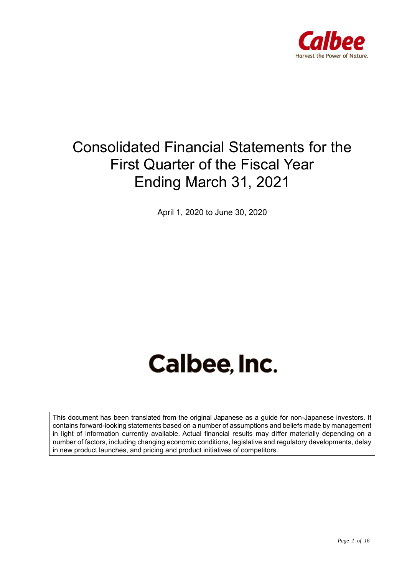

# Consolidated Financial Statements for the First Quarter of the Fiscal Year Ending March 31, 2021

April 1, 2020 to June 30, 2020

# Calbee, Inc.

This document has been translated from the original Japanese as a guide for non-Japanese investors. It contains forward-looking statements based on a number of assumptions and beliefs made by management in light of information currently available. Actual financial results may differ materially depending on a number of factors, including changing economic conditions, legislative and regulatory developments, delay in new product launches, and pricing and product initiatives of competitors.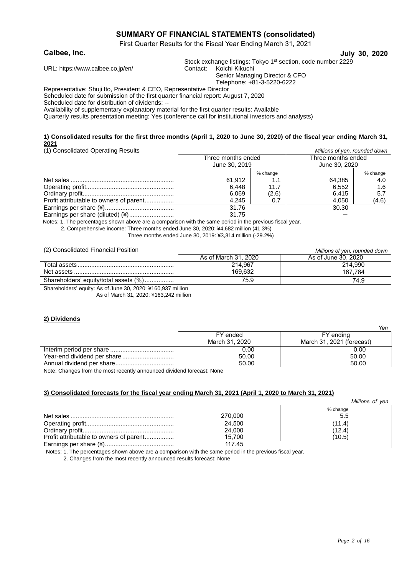#### **SUMMARY OF FINANCIAL STATEMENTS (consolidated)**

First Quarter Results for the Fiscal Year Ending March 31, 2021

**Calbee, Inc. July 30, 2020**

Stock exchange listings: Tokyo 1<sup>st</sup> section, code number 2229 Contact: Koichi Kikuchi

URL: https:[//www.calbee.co.jp/en/](http://www.calbee.co.jp/en/)

Senior Managing Director & CFO

Telephone: +81-3-5220-6222

Representative: Shuji Ito, President & CEO, Representative Director

Scheduled date for submission of the first quarter financial report: August 7, 2020

Scheduled date for distribution of dividends: --

Availability of supplementary explanatory material for the first quarter results: Available

Quarterly results presentation meeting: Yes (conference call for institutional investors and analysts)

#### **1) Consolidated results for the first three months (April 1, 2020 to June 30, 2020) of the fiscal year ending March 31, 2021**

(1) Consolidated Operating Results *Millions of yen, rounded down*

| 117 Consolidated Operating Results      | <u><i>Report of Verly loanded down</i></u> |          |                    |          |
|-----------------------------------------|--------------------------------------------|----------|--------------------|----------|
|                                         | Three months ended                         |          | Three months ended |          |
|                                         | June 30, 2019                              |          | June 30, 2020      |          |
|                                         |                                            | % change |                    | % change |
|                                         | 61,912                                     |          | 64,385             | 4.0      |
|                                         | 6,448                                      | 11.7     | 6,552              | 1.6      |
|                                         | 6,069                                      | (2.6)    | 6.415              | 5.7      |
| Profit attributable to owners of parent | 4,245                                      | 0.7      | 4,050              | (4.6)    |
|                                         | 31.76                                      |          | 30.30              |          |
| Earnings per share (diluted) (¥)        | 31.75                                      |          |                    |          |

Notes: 1. The percentages shown above are a comparison with the same period in the previous fiscal year.

2. Comprehensive income: Three months ended June 30, 2020: ¥4,682 million (41.3%)

Three months ended June 30, 2019: ¥3,314 million (-29.2%)

(2) Consolidated Financial Position *Millions of yen, rounded down*

|                                              | <u><i>Millions of you, rounded down</i></u> |                     |  |
|----------------------------------------------|---------------------------------------------|---------------------|--|
|                                              | As of March 31, 2020                        | As of June 30, 2020 |  |
|                                              | 214.967                                     | 214.990             |  |
|                                              | 169.632                                     | 167.784             |  |
| Shareholders' equity/total assets (%)        | 75.9                                        | 74.9                |  |
| $\Omega$ iii ii is a film oo oooo waa ooo wu |                                             |                     |  |

Shareholders' equity: As of June 30, 2020: ¥160,937 million As of March 31, 2020: ¥163,242 million

# **2) Dividends**

|                | Yen                       |
|----------------|---------------------------|
| FY ended       | FY ending                 |
| March 31, 2020 | March 31, 2021 (forecast) |
| 0.00           | 0.00                      |
| 50.00          | 50.00                     |
| 50.00          | 50.00                     |

Note: Changes from the most recently announced dividend forecast: None

#### **3) Consolidated forecasts for the fiscal year ending March 31, 2021 (April 1, 2020 to March 31, 2021)**

|                                         |         | Millions of yen |
|-----------------------------------------|---------|-----------------|
|                                         |         | % change        |
|                                         | 270,000 | 5.5             |
|                                         | 24,500  | (11.4)          |
|                                         | 24,000  | (12.4)          |
| Profit attributable to owners of parent | 15.700  | (10.5)          |
|                                         | 117.45  |                 |

Notes: 1. The percentages shown above are a comparison with the same period in the previous fiscal year.

2. Changes from the most recently announced results forecast: None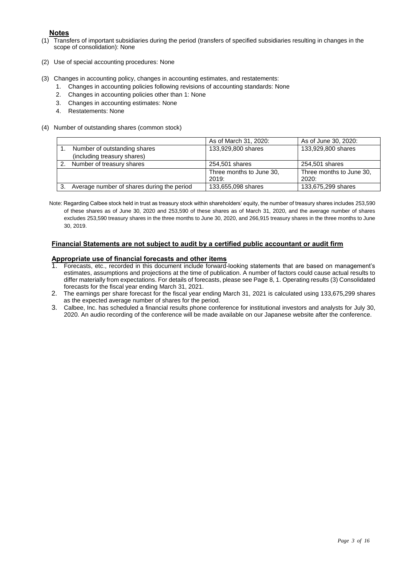#### **Notes**

- (1) Transfers of important subsidiaries during the period (transfers of specified subsidiaries resulting in changes in the scope of consolidation): None
- (2) Use of special accounting procedures: None
- (3) Changes in accounting policy, changes in accounting estimates, and restatements:
	- 1. Changes in accounting policies following revisions of accounting standards: None
	- 2. Changes in accounting policies other than 1: None
	- 3. Changes in accounting estimates: None
	- 4. Restatements: None
- (4) Number of outstanding shares (common stock)

|    |                                            | As of March 31, 2020:             | As of June 30, 2020:              |
|----|--------------------------------------------|-----------------------------------|-----------------------------------|
|    | Number of outstanding shares               | 133,929,800 shares                | 133,929,800 shares                |
|    | (including treasury shares)                |                                   |                                   |
| 2. | Number of treasury shares                  | 254,501 shares                    | 254,501 shares                    |
|    |                                            | Three months to June 30,<br>2019: | Three months to June 30,<br>2020: |
|    |                                            |                                   |                                   |
| 3. | Average number of shares during the period | 133,655,098 shares                | 133,675,299 shares                |

Note: Regarding Calbee stock held in trust as treasury stock within shareholders' equity, the number of treasury shares includes 253,590 of these shares as of June 30, 2020 and 253,590 of these shares as of March 31, 2020, and the average number of shares excludes 253,590 treasury shares in the three months to June 30, 2020, and 266,915 treasury shares in the three months to June 30, 2019.

#### **Financial Statements are not subject to audit by a certified public accountant or audit firm**

# **Appropriate use of financial forecasts and other items**<br>**1** Eprecasts etc. recorded in this document include forward

- 1. Forecasts, etc., recorded in this document include forward-looking statements that are based on management's estimates, assumptions and projections at the time of publication. A number of factors could cause actual results to differ materially from expectations. For details of forecasts, please see Page 8, 1. Operating results (3) Consolidated forecasts for the fiscal year ending March 31, 2021.
- 2. The earnings per share forecast for the fiscal year ending March 31, 2021 is calculated using 133,675,299 shares as the expected average number of shares for the period.
- 3. Calbee, Inc. has scheduled a financial results phone conference for institutional investors and analysts for July 30, 2020. An audio recording of the conference will be made available on our Japanese website after the conference.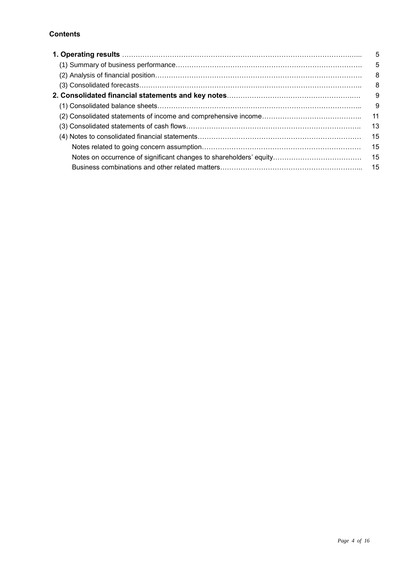#### **Contents**

| 1. Operating results ……………………………………………………………………………………………              | 5   |
|-----------------------------------------------------------------------|-----|
|                                                                       | 5   |
|                                                                       | 8   |
|                                                                       | 8   |
| 2. Consolidated financial statements and key notes………………………………………………… | -9  |
|                                                                       | 9   |
|                                                                       | 11  |
|                                                                       | 13  |
|                                                                       | 15  |
|                                                                       | 15  |
|                                                                       | 15  |
|                                                                       | -15 |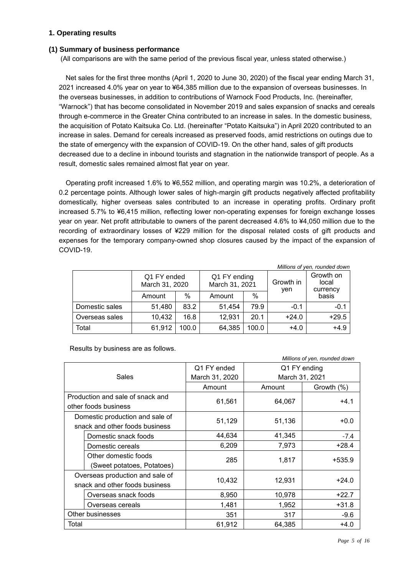#### **1. Operating results**

#### **(1) Summary of business performance**

(All comparisons are with the same period of the previous fiscal year, unless stated otherwise.)

Net sales for the first three months (April 1, 2020 to June 30, 2020) of the fiscal year ending March 31, 2021 increased 4.0% year on year to ¥64,385 million due to the expansion of overseas businesses. In the overseas businesses, in addition to contributions of Warnock Food Products, Inc. (hereinafter, "Warnock") that has become consolidated in November 2019 and sales expansion of snacks and cereals through e-commerce in the Greater China contributed to an increase in sales. In the domestic business, the acquisition of Potato Kaitsuka Co. Ltd. (hereinafter "Potato Kaitsuka") in April 2020 contributed to an increase in sales. Demand for cereals increased as preserved foods, amid restrictions on outings due to the state of emergency with the expansion of COVID-19. On the other hand, sales of gift products decreased due to a decline in inbound tourists and stagnation in the nationwide transport of people. As a result, domestic sales remained almost flat year on year.

Operating profit increased 1.6% to ¥6,552 million, and operating margin was 10.2%, a deterioration of 0.2 percentage points. Although lower sales of high-margin gift products negatively affected profitability domestically, higher overseas sales contributed to an increase in operating profits. Ordinary profit increased 5.7% to ¥6,415 million, reflecting lower non-operating expenses for foreign exchange losses year on year. Net profit attributable to owners of the parent decreased 4.6% to ¥4,050 million due to the recording of extraordinary losses of ¥229 million for the disposal related costs of gift products and expenses for the temporary company-owned shop closures caused by the impact of the expansion of COVID-19.

| Millions of yen, rounded down |                               |       |                                                             |       |                       |         |
|-------------------------------|-------------------------------|-------|-------------------------------------------------------------|-------|-----------------------|---------|
|                               | Q1 FY ended<br>March 31, 2020 |       | Q1 FY ending<br>Growth in<br>local<br>March 31, 2021<br>yen |       | Growth on<br>currency |         |
|                               | Amount                        | %     | Amount                                                      | %     |                       | basis   |
| Domestic sales                | 51,480                        | 83.2  | 51,454                                                      | 79.9  | $-0.1$                | $-0.1$  |
| Overseas sales                | 10,432                        | 16.8  | 12,931                                                      | 20.1  | $+24.0$               | $+29.5$ |
| Total                         | 61,912                        | 100.0 | 64,385                                                      | 100.0 | $+4.0$                | $+4.9$  |

Results by business are as follows.

|                                  |                |                | Millions of yen, rounded down |  |
|----------------------------------|----------------|----------------|-------------------------------|--|
|                                  | Q1 FY ended    | Q1 FY ending   |                               |  |
| Sales                            | March 31, 2020 | March 31, 2021 |                               |  |
|                                  | Amount         | Amount         | Growth (%)                    |  |
| Production and sale of snack and |                |                | $+4.1$                        |  |
| other foods business             | 61,561         | 64,067         |                               |  |
| Domestic production and sale of  |                |                | $+0.0$                        |  |
| snack and other foods business   | 51,129         | 51,136         |                               |  |
| Domestic snack foods             | 44,634         | 41,345         | $-7.4$                        |  |
| Domestic cereals                 | 6,209          | 7,973          | $+28.4$                       |  |
| Other domestic foods             | 285            |                | +535.9                        |  |
| (Sweet potatoes, Potatoes)       |                | 1,817          |                               |  |
| Overseas production and sale of  |                |                |                               |  |
| snack and other foods business   | 10,432         | 12,931         | $+24.0$                       |  |
| Overseas snack foods             | 8,950          | 10,978         | $+22.7$                       |  |
| Overseas cereals                 | 1,481          | 1,952          | $+31.8$                       |  |
| Other businesses                 | 351            | 317            | $-9.6$                        |  |
| Total                            | 61,912         | 64,385         | $+4.0$                        |  |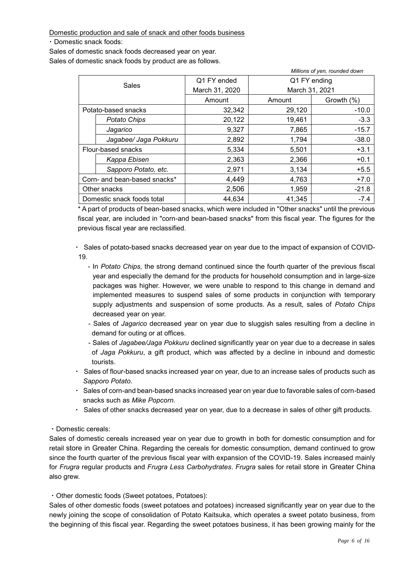Domestic production and sale of snack and other foods business

・Domestic snack foods:

Sales of domestic snack foods decreased year on year.

Sales of domestic snack foods by product are as follows.

| Millions of yen, rounded down |                              |                |                |            |
|-------------------------------|------------------------------|----------------|----------------|------------|
|                               |                              | Q1 FY ended    | Q1 FY ending   |            |
|                               | Sales                        | March 31, 2020 | March 31, 2021 |            |
|                               |                              | Amount         | Amount         | Growth (%) |
|                               | Potato-based snacks          | 32,342         | 29,120         | $-10.0$    |
|                               | <b>Potato Chips</b>          | 20,122         | 19,461         | $-3.3$     |
|                               | Jagarico                     | 9,327          | 7,865          | $-15.7$    |
|                               | Jagabee/ Jaga Pokkuru        | 2,892          | 1,794          | $-38.0$    |
|                               | Flour-based snacks           | 5,334          | 5,501          | $+3.1$     |
|                               | Kappa Ebisen                 | 2,363          | 2,366          | $+0.1$     |
|                               | Sapporo Potato, etc.         | 2,971          | 3,134          | $+5.5$     |
|                               | Corn- and bean-based snacks* | 4,449          | 4,763          | $+7.0$     |
|                               | Other snacks                 | 2,506          | 1,959          | $-21.8$    |
|                               | Domestic snack foods total   | 44,634         | 41,345         | $-7.4$     |

\* A part of products of bean-based snacks, which were included in "Other snacks" until the previous fiscal year, are included in "corn-and bean-based snacks" from this fiscal year. The figures for the previous fiscal year are reclassified.

・ Sales of potato-based snacks decreased year on year due to the impact of expansion of COVID-19.

- In *Potato Chips,* the strong demand continued since the fourth quarter of the previous fiscal year and especially the demand for the products for household consumption and in large-size packages was higher. However, we were unable to respond to this change in demand and implemented measures to suspend sales of some products in conjunction with temporary supply adjustments and suspension of some products. As a result, sales of *Potato Chips*  decreased year on year.
- Sales of *Jagarico* decreased year on year due to sluggish sales resulting from a decline in demand for outing or at offices.
- Sales of *Jagabee/Jaga Pokkuru* declined significantly year on year due to a decrease in sales of *Jaga Pokkuru*, a gift product, which was affected by a decline in inbound and domestic tourists.
- ・ Sales of flour-based snacks increased year on year, due to an increase sales of products such as *Sapporo Potato*.
- ・ Sales of corn-and bean-based snacks increased year on year due to favorable sales of corn-based snacks such as *Mike Popcorn*.
- ・ Sales of other snacks decreased year on year, due to a decrease in sales of other gift products.

#### ・Domestic cereals:

Sales of domestic cereals increased year on year due to growth in both for domestic consumption and for retail store in Greater China. Regarding the cereals for domestic consumption, demand continued to grow since the fourth quarter of the previous fiscal year with expansion of the COVID-19. Sales increased mainly for *Frugra* regular products and *Frugra Less Carbohydrates*. *Frugra* sales for retail store in Greater China also grew.

・Other domestic foods (Sweet potatoes, Potatoes):

Sales of other domestic foods (sweet potatoes and potatoes) increased significantly year on year due to the newly joining the scope of consolidation of Potato Kaitsuka, which operates a sweet potato business, from the beginning of this fiscal year. Regarding the sweet potatoes business, it has been growing mainly for the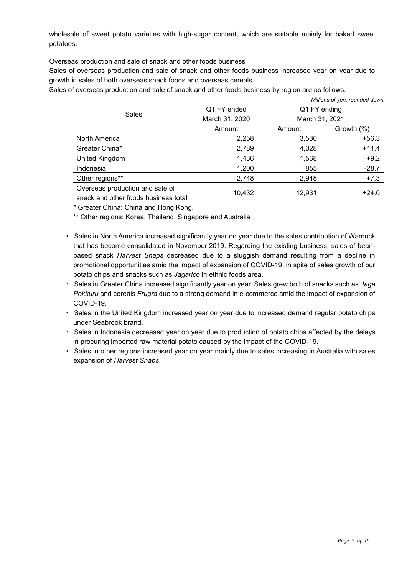wholesale of sweet potato varieties with high-sugar content, which are suitable mainly for baked sweet potatoes.

Overseas production and sale of snack and other foods business

Sales of overseas production and sale of snack and other foods business increased year on year due to growth in sales of both overseas snack foods and overseas cereals.

Sales of overseas production and sale of snack and other foods business by region are as follows.

| Millions of yen, rounded down        |                |              |                |  |
|--------------------------------------|----------------|--------------|----------------|--|
|                                      | Q1 FY ended    | Q1 FY ending |                |  |
| <b>Sales</b>                         | March 31, 2020 |              | March 31, 2021 |  |
|                                      | Amount         | Amount       | Growth (%)     |  |
| North America                        | 2,258          | 3,530        | $+56.3$        |  |
| Greater China*                       | 2,789          | 4,028        | $+44.4$        |  |
| United Kingdom                       | 1,436          | 1,568        | $+9.2$         |  |
| Indonesia                            | 1,200          | 855          | $-28.7$        |  |
| Other regions**                      | 2,748          | 2,948        | $+7.3$         |  |
| Overseas production and sale of      | 10,432         | 12,931       | $+24.0$        |  |
| snack and other foods business total |                |              |                |  |

\* Greater China: China and Hong Kong.

\*\* Other regions: Korea, Thailand, Singapore and Australia

- ・ Sales in North America increased significantly year on year due to the sales contribution of Warnock that has become consolidated in November 2019. Regarding the existing business, sales of beanbased snack *Harvest Snaps* decreased due to a sluggish demand resulting from a decline in promotional opportunities amid the impact of expansion of COVID-19, in spite of sales growth of our potato chips and snacks such as *Jagarico* in ethnic foods area.
- ・ Sales in Greater China increased significantly year on year. Sales grew both of snacks such as *Jaga Pokkuru* and cereals *Frugra* due to a strong demand in e-commerce amid the impact of expansion of COVID-19.
- ・ Sales in the United Kingdom increased year on year due to increased demand regular potato chips under Seabrook brand.
- ・ Sales in Indonesia decreased year on year due to production of potato chips affected by the delays in procuring imported raw material potato caused by the impact of the COVID-19.
- Sales in other regions increased year on year mainly due to sales increasing in Australia with sales expansion of *Harvest Snaps*.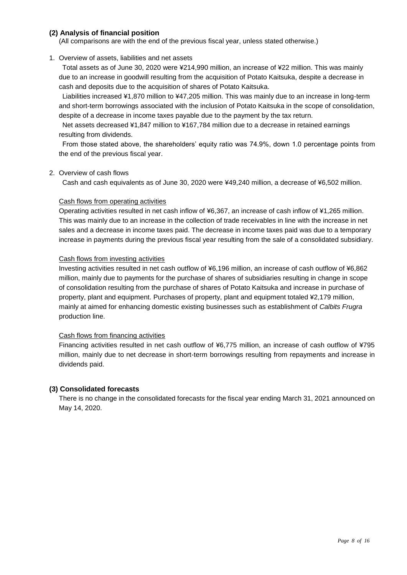#### **(2) Analysis of financial position**

(All comparisons are with the end of the previous fiscal year, unless stated otherwise.)

#### 1. Overview of assets, liabilities and net assets

Total assets as of June 30, 2020 were ¥214,990 million, an increase of ¥22 million. This was mainly due to an increase in goodwill resulting from the acquisition of Potato Kaitsuka, despite a decrease in cash and deposits due to the acquisition of shares of Potato Kaitsuka.

Liabilities increased ¥1,870 million to ¥47,205 million. This was mainly due to an increase in long-term and short-term borrowings associated with the inclusion of Potato Kaitsuka in the scope of consolidation, despite of a decrease in income taxes payable due to the payment by the tax return.

Net assets decreased ¥1,847 million to ¥167,784 million due to a decrease in retained earnings resulting from dividends.

From those stated above, the shareholders' equity ratio was 74.9%, down 1.0 percentage points from the end of the previous fiscal year.

#### 2. Overview of cash flows

Cash and cash equivalents as of June 30, 2020 were ¥49,240 million, a decrease of ¥6,502 million.

#### Cash flows from operating activities

Operating activities resulted in net cash inflow of ¥6,367, an increase of cash inflow of ¥1,265 million. This was mainly due to an increase in the collection of trade receivables in line with the increase in net sales and a decrease in income taxes paid. The decrease in income taxes paid was due to a temporary increase in payments during the previous fiscal year resulting from the sale of a consolidated subsidiary.

#### Cash flows from investing activities

Investing activities resulted in net cash outflow of ¥6,196 million, an increase of cash outflow of ¥6,862 million, mainly due to payments for the purchase of shares of subsidiaries resulting in change in scope of consolidation resulting from the purchase of shares of Potato Kaitsuka and increase in purchase of property, plant and equipment. Purchases of property, plant and equipment totaled ¥2,179 million, mainly at aimed for enhancing domestic existing businesses such as establishment of *Calbits Frugra* production line.

#### Cash flows from financing activities

Financing activities resulted in net cash outflow of ¥6,775 million, an increase of cash outflow of ¥795 million, mainly due to net decrease in short-term borrowings resulting from repayments and increase in dividends paid.

#### **(3) Consolidated forecasts**

There is no change in the consolidated forecasts for the fiscal year ending March 31, 2021 announced on May 14, 2020.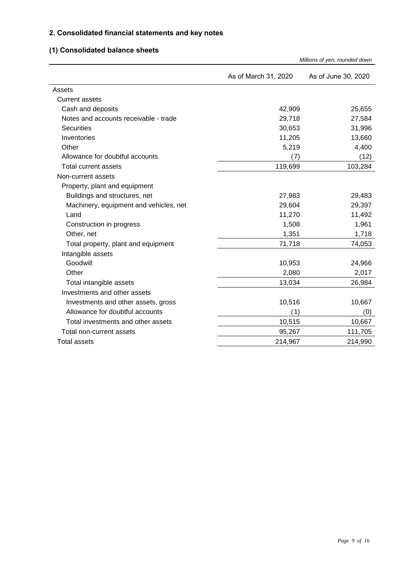### **2. Consolidated financial statements and key notes**

## **(1) Consolidated balance sheets**

|                                        | Millions of yen, rounded down |                     |  |
|----------------------------------------|-------------------------------|---------------------|--|
|                                        | As of March 31, 2020          | As of June 30, 2020 |  |
| Assets                                 |                               |                     |  |
| <b>Current assets</b>                  |                               |                     |  |
| Cash and deposits                      | 42,909                        | 25,655              |  |
| Notes and accounts receivable - trade  | 29,718                        | 27,584              |  |
| <b>Securities</b>                      | 30,653                        | 31,996              |  |
| Inventories                            | 11,205                        | 13,660              |  |
| Other                                  | 5,219                         | 4,400               |  |
| Allowance for doubtful accounts        | (7)                           | (12)                |  |
| Total current assets                   | 119,699                       | 103,284             |  |
| Non-current assets                     |                               |                     |  |
| Property, plant and equipment          |                               |                     |  |
| Buildings and structures, net          | 27,983                        | 29,483              |  |
| Machinery, equipment and vehicles, net | 29,604                        | 29,397              |  |
| Land                                   | 11,270                        | 11,492              |  |
| Construction in progress               | 1,508                         | 1,961               |  |
| Other, net                             | 1,351                         | 1,718               |  |
| Total property, plant and equipment    | 71,718                        | 74,053              |  |
| Intangible assets                      |                               |                     |  |
| Goodwill                               | 10,953                        | 24,966              |  |
| Other                                  | 2,080                         | 2,017               |  |
| Total intangible assets                | 13,034                        | 26,984              |  |
| Investments and other assets           |                               |                     |  |
| Investments and other assets, gross    | 10,516                        | 10,667              |  |
| Allowance for doubtful accounts        | (1)                           | (0)                 |  |
| Total investments and other assets     | 10,515                        | 10,667              |  |
| Total non-current assets               | 95,267                        | 111,705             |  |
| <b>Total assets</b>                    | 214,967                       | 214,990             |  |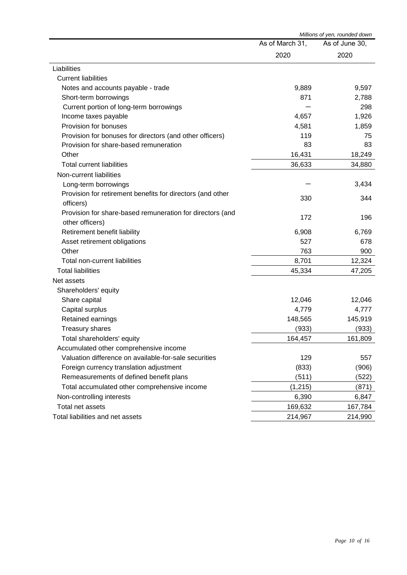|                                                            |                 | Millions of yen, rounded down |
|------------------------------------------------------------|-----------------|-------------------------------|
|                                                            | As of March 31, | As of June 30,                |
|                                                            | 2020            | 2020                          |
| Liabilities                                                |                 |                               |
| <b>Current liabilities</b>                                 |                 |                               |
| Notes and accounts payable - trade                         | 9,889           | 9,597                         |
| Short-term borrowings                                      | 871             | 2,788                         |
| Current portion of long-term borrowings                    |                 | 298                           |
| Income taxes payable                                       | 4,657           | 1,926                         |
| Provision for bonuses                                      | 4,581           | 1,859                         |
| Provision for bonuses for directors (and other officers)   | 119             | 75                            |
| Provision for share-based remuneration                     | 83              | 83                            |
| Other                                                      | 16,431          | 18,249                        |
| <b>Total current liabilities</b>                           | 36,633          | 34,880                        |
| Non-current liabilities                                    |                 |                               |
| Long-term borrowings                                       |                 | 3,434                         |
| Provision for retirement benefits for directors (and other | 330             | 344                           |
| officers)                                                  |                 |                               |
| Provision for share-based remuneration for directors (and  | 172             | 196                           |
| other officers)                                            |                 |                               |
| Retirement benefit liability                               | 6,908           | 6,769                         |
| Asset retirement obligations                               | 527             | 678                           |
| Other                                                      | 763             | 900                           |
| Total non-current liabilities                              | 8,701           | 12,324                        |
| <b>Total liabilities</b>                                   | 45,334          | 47,205                        |
| Net assets                                                 |                 |                               |
| Shareholders' equity                                       |                 |                               |
| Share capital                                              | 12,046          | 12,046                        |
| Capital surplus                                            | 4,779           | 4,777                         |
| Retained earnings                                          | 148,565         | 145,919                       |
| <b>Treasury shares</b>                                     | (933)           | (933)                         |
| Total shareholders' equity                                 | 164,457         | 161,809                       |
| Accumulated other comprehensive income                     |                 |                               |
| Valuation difference on available-for-sale securities      | 129             | 557                           |
| Foreign currency translation adjustment                    | (833)           | (906)                         |
| Remeasurements of defined benefit plans                    | (511)           | (522)                         |
| Total accumulated other comprehensive income               | (1, 215)        | (871)                         |
| Non-controlling interests                                  | 6,390           | 6,847                         |
| Total net assets                                           | 169,632         | 167,784                       |
| Total liabilities and net assets                           | 214,967         | 214,990                       |
|                                                            |                 |                               |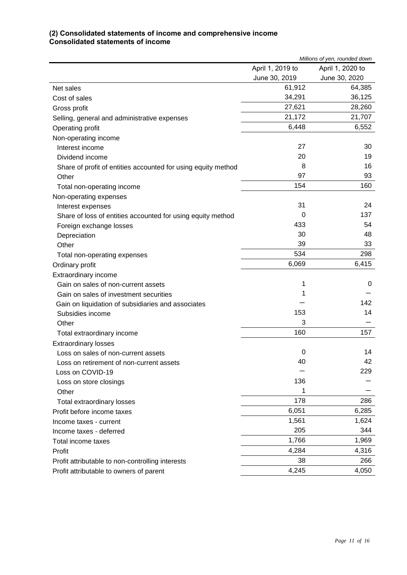#### **(2) Consolidated statements of income and comprehensive income Consolidated statements of income**

|                                                               | Millions of yen, rounded down |                  |
|---------------------------------------------------------------|-------------------------------|------------------|
|                                                               | April 1, 2019 to              | April 1, 2020 to |
|                                                               | June 30, 2019                 | June 30, 2020    |
| Net sales                                                     | 61,912                        | 64,385           |
| Cost of sales                                                 | 34,291                        | 36,125           |
| Gross profit                                                  | 27,621                        | 28,260           |
| Selling, general and administrative expenses                  | 21,172                        | 21,707           |
| Operating profit                                              | 6,448                         | 6,552            |
| Non-operating income                                          |                               |                  |
| Interest income                                               | 27                            | 30               |
| Dividend income                                               | 20                            | 19               |
| Share of profit of entities accounted for using equity method | 8                             | 16               |
| Other                                                         | 97                            | 93               |
| Total non-operating income                                    | 154                           | 160              |
| Non-operating expenses                                        |                               |                  |
| Interest expenses                                             | 31                            | 24               |
| Share of loss of entities accounted for using equity method   | 0                             | 137              |
| Foreign exchange losses                                       | 433                           | 54               |
| Depreciation                                                  | 30                            | 48               |
| Other                                                         | 39                            | 33               |
| Total non-operating expenses                                  | 534                           | 298              |
| Ordinary profit                                               | 6,069                         | 6,415            |
| Extraordinary income                                          |                               |                  |
| Gain on sales of non-current assets                           | 1                             | 0                |
| Gain on sales of investment securities                        | 1                             |                  |
| Gain on liquidation of subsidiaries and associates            |                               | 142              |
| Subsidies income                                              | 153                           | 14               |
| Other                                                         | 3                             |                  |
| Total extraordinary income                                    | 160                           | 157              |
| <b>Extraordinary losses</b>                                   |                               |                  |
| Loss on sales of non-current assets                           | 0                             | 14               |
| Loss on retirement of non-current assets                      | 40                            | 42               |
| Loss on COVID-19                                              |                               | 229              |
| Loss on store closings                                        | 136                           |                  |
| Other                                                         | 1                             |                  |
| Total extraordinary losses                                    | 178                           | 286              |
| Profit before income taxes                                    | 6,051                         | 6,285            |
| Income taxes - current                                        | 1,561                         | 1,624            |
| Income taxes - deferred                                       | 205                           | 344              |
| Total income taxes                                            | 1,766                         | 1,969            |
| Profit                                                        | 4,284                         | 4,316            |
| Profit attributable to non-controlling interests              | 38                            | 266              |
| Profit attributable to owners of parent                       | 4,245                         | 4,050            |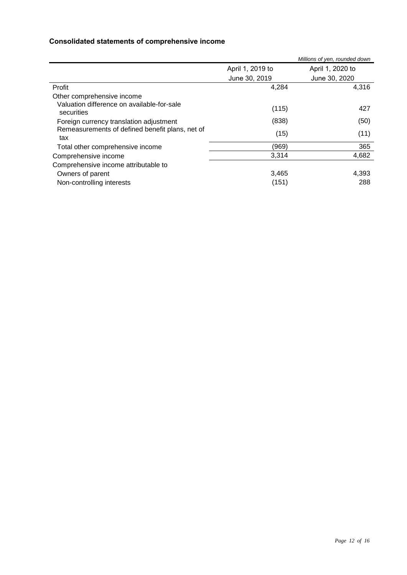### **Consolidated statements of comprehensive income**

|                                                          |                  | Millions of yen, rounded down |
|----------------------------------------------------------|------------------|-------------------------------|
|                                                          | April 1, 2019 to | April 1, 2020 to              |
|                                                          | June 30, 2019    | June 30, 2020                 |
| Profit                                                   | 4,284            | 4,316                         |
| Other comprehensive income                               |                  |                               |
| Valuation difference on available-for-sale<br>securities | (115)            | 427                           |
| Foreign currency translation adjustment                  | (838)            | (50)                          |
| Remeasurements of defined benefit plans, net of<br>tax   | (15)             | (11)                          |
| Total other comprehensive income                         | (969)            | 365                           |
| Comprehensive income                                     | 3,314            | 4,682                         |
| Comprehensive income attributable to                     |                  |                               |
| Owners of parent                                         | 3,465            | 4,393                         |
| Non-controlling interests                                | (151)            | 288                           |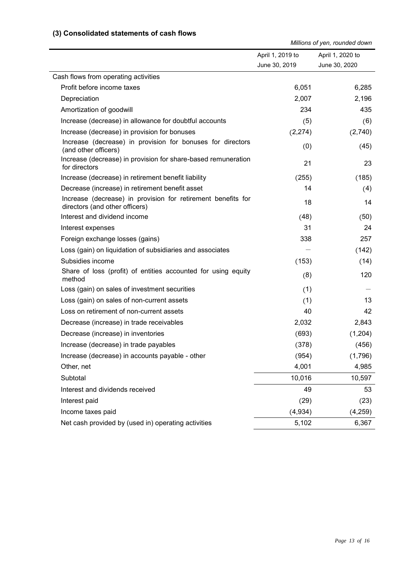#### **(3) Consolidated statements of cash flows**

*Millions of yen, rounded down*

|                                                                                                | April 1, 2019 to | April 1, 2020 to |
|------------------------------------------------------------------------------------------------|------------------|------------------|
|                                                                                                | June 30, 2019    | June 30, 2020    |
| Cash flows from operating activities                                                           |                  |                  |
| Profit before income taxes                                                                     | 6,051            | 6,285            |
| Depreciation                                                                                   | 2,007            | 2,196            |
| Amortization of goodwill                                                                       | 234              | 435              |
| Increase (decrease) in allowance for doubtful accounts                                         | (5)              | (6)              |
| Increase (decrease) in provision for bonuses                                                   | (2, 274)         | (2,740)          |
| Increase (decrease) in provision for bonuses for directors<br>(and other officers)             | (0)              | (45)             |
| Increase (decrease) in provision for share-based remuneration<br>for directors                 | 21               | 23               |
| Increase (decrease) in retirement benefit liability                                            | (255)            | (185)            |
| Decrease (increase) in retirement benefit asset                                                | 14               | (4)              |
| Increase (decrease) in provision for retirement benefits for<br>directors (and other officers) | 18               | 14               |
| Interest and dividend income                                                                   | (48)             | (50)             |
| Interest expenses                                                                              | 31               | 24               |
| Foreign exchange losses (gains)                                                                | 338              | 257              |
| Loss (gain) on liquidation of subsidiaries and associates                                      |                  | (142)            |
| Subsidies income                                                                               | (153)            | (14)             |
| Share of loss (profit) of entities accounted for using equity<br>method                        | (8)              | 120              |
| Loss (gain) on sales of investment securities                                                  | (1)              |                  |
| Loss (gain) on sales of non-current assets                                                     | (1)              | 13               |
| Loss on retirement of non-current assets                                                       | 40               | 42               |
| Decrease (increase) in trade receivables                                                       | 2,032            | 2,843            |
| Decrease (increase) in inventories                                                             | (693)            | (1,204)          |
| Increase (decrease) in trade payables                                                          | (378)            | (456)            |
| Increase (decrease) in accounts payable - other                                                | (954)            | (1,796)          |
| Other, net                                                                                     | 4,001            | 4,985            |
| Subtotal                                                                                       | 10,016           | 10,597           |
| Interest and dividends received                                                                | 49               | 53               |
| Interest paid                                                                                  | (29)             | (23)             |
| Income taxes paid                                                                              | (4,934)          | (4,259)          |
| Net cash provided by (used in) operating activities                                            | 5,102            | 6,367            |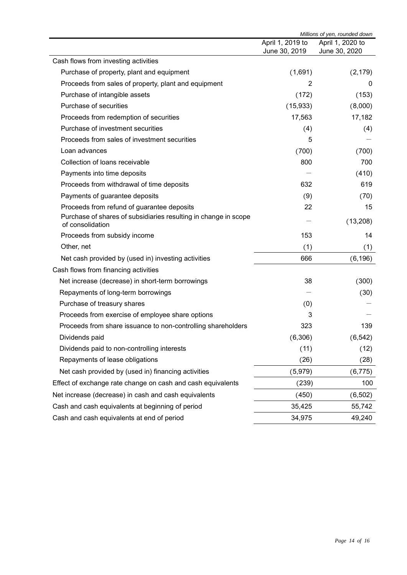|                                                                                     | Millions of yen, rounded down |                  |
|-------------------------------------------------------------------------------------|-------------------------------|------------------|
|                                                                                     | April 1, 2019 to              | April 1, 2020 to |
|                                                                                     | June 30, 2019                 | June 30, 2020    |
| Cash flows from investing activities                                                |                               |                  |
| Purchase of property, plant and equipment                                           | (1,691)                       | (2, 179)         |
| Proceeds from sales of property, plant and equipment                                | 2                             | $\mathbf 0$      |
| Purchase of intangible assets                                                       | (172)                         | (153)            |
| Purchase of securities                                                              | (15, 933)                     | (8,000)          |
| Proceeds from redemption of securities                                              | 17,563                        | 17,182           |
| Purchase of investment securities                                                   | (4)                           | (4)              |
| Proceeds from sales of investment securities                                        | 5                             |                  |
| Loan advances                                                                       | (700)                         | (700)            |
| Collection of loans receivable                                                      | 800                           | 700              |
| Payments into time deposits                                                         |                               | (410)            |
| Proceeds from withdrawal of time deposits                                           | 632                           | 619              |
| Payments of guarantee deposits                                                      | (9)                           | (70)             |
| Proceeds from refund of guarantee deposits                                          | 22                            | 15               |
| Purchase of shares of subsidiaries resulting in change in scope<br>of consolidation |                               | (13, 208)        |
| Proceeds from subsidy income                                                        | 153                           | 14               |
| Other, net                                                                          | (1)                           | (1)              |
| Net cash provided by (used in) investing activities                                 | 666                           | (6, 196)         |
| Cash flows from financing activities                                                |                               |                  |
| Net increase (decrease) in short-term borrowings                                    | 38                            | (300)            |
| Repayments of long-term borrowings                                                  |                               | (30)             |
| Purchase of treasury shares                                                         | (0)                           |                  |
| Proceeds from exercise of employee share options                                    | 3                             |                  |
| Proceeds from share issuance to non-controlling shareholders                        | 323                           | 139              |
| Dividends paid                                                                      | (6,306)                       | (6, 542)         |
| Dividends paid to non-controlling interests                                         | (11)                          | (12)             |
| Repayments of lease obligations                                                     | (26)                          | (28)             |
| Net cash provided by (used in) financing activities                                 | (5,979)                       | (6, 775)         |
| Effect of exchange rate change on cash and cash equivalents                         | (239)                         | 100              |
| Net increase (decrease) in cash and cash equivalents                                | (450)                         | (6, 502)         |
| Cash and cash equivalents at beginning of period                                    | 35,425                        | 55,742           |
|                                                                                     |                               |                  |
| Cash and cash equivalents at end of period                                          | 34,975                        | 49,240           |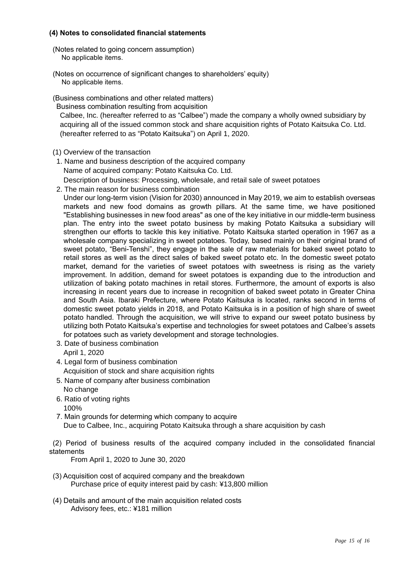#### **(4) Notes to consolidated financial statements**

- (Notes related to going concern assumption) No applicable items.
- (Notes on occurrence of significant changes to shareholders' equity) No applicable items.
- (Business combinations and other related matters)

Business combination resulting from acquisition

Calbee, Inc. (hereafter referred to as "Calbee") made the company a wholly owned subsidiary by acquiring all of the issued common stock and share acquisition rights of Potato Kaitsuka Co. Ltd. (hereafter referred to as "Potato Kaitsuka") on April 1, 2020.

- (1) Overview of the transaction
- 1. Name and business description of the acquired company Name of acquired company: Potato Kaitsuka Co. Ltd. Description of business: Processing, wholesale, and retail sale of sweet potatoes
- 2. The main reason for business combination

Under our long-term vision (Vision for 2030) announced in May 2019, we aim to establish overseas markets and new food domains as growth pillars. At the same time, we have positioned "Establishing businesses in new food areas" as one of the key initiative in our middle-term business plan. The entry into the sweet potato business by making Potato Kaitsuka a subsidiary will strengthen our efforts to tackle this key initiative. Potato Kaitsuka started operation in 1967 as a wholesale company specializing in sweet potatoes. Today, based mainly on their original brand of sweet potato, "Beni-Tenshi", they engage in the sale of raw materials for baked sweet potato to retail stores as well as the direct sales of baked sweet potato etc. In the domestic sweet potato market, demand for the varieties of sweet potatoes with sweetness is rising as the variety improvement. In addition, demand for sweet potatoes is expanding due to the introduction and utilization of baking potato machines in retail stores. Furthermore, the amount of exports is also increasing in recent years due to increase in recognition of baked sweet potato in Greater China and South Asia. Ibaraki Prefecture, where Potato Kaitsuka is located, ranks second in terms of domestic sweet potato yields in 2018, and Potato Kaitsuka is in a position of high share of sweet potato handled. Through the acquisition, we will strive to expand our sweet potato business by utilizing both Potato Kaitsuka's expertise and technologies for sweet potatoes and Calbee's assets for potatoes such as variety development and storage technologies.

- 3. Date of business combination April 1, 2020
- 4. Legal form of business combination

Acquisition of stock and share acquisition rights

- 5. Name of company after business combination No change
- 6. Ratio of voting rights
	- 100%
- 7. Main grounds for determing which company to acquire Due to Calbee, Inc., acquiring Potato Kaitsuka through a share acquisition by cash

(2) Period of business results of the acquired company included in the consolidated financial statements

From April 1, 2020 to June 30, 2020

- (3) Acquisition cost of acquired company and the breakdown Purchase price of equity interest paid by cash: ¥13,800 million
- (4) Details and amount of the main acquisition related costs Advisory fees, etc.: ¥181 million